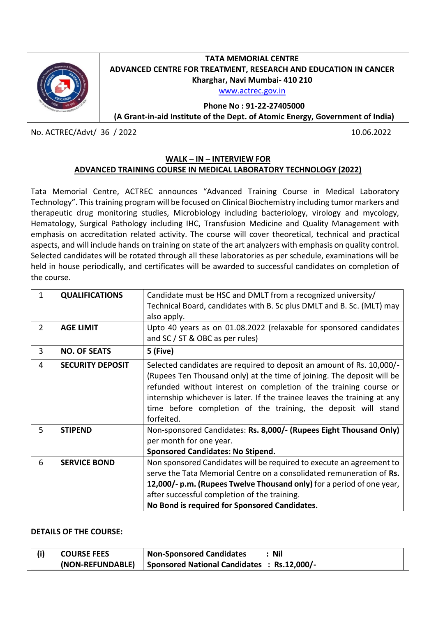

## **TATA MEMORIAL CENTRE ADVANCED CENTRE FOR TREATMENT, RESEARCH AND EDUCATION IN CANCER Kharghar, Navi Mumbai- 410 210**

[www.actrec.gov.in](http://www.actrec.gov.in/)

**Phone No : 91-22-27405000**

**(A Grant-in-aid Institute of the Dept. of Atomic Energy, Government of India)**

No. ACTREC/Advt/ 36 / 2022 10.06.2022

## **WALK – IN – INTERVIEW FOR ADVANCED TRAINING COURSE IN MEDICAL LABORATORY TECHNOLOGY (2022)**

Tata Memorial Centre, ACTREC announces "Advanced Training Course in Medical Laboratory Technology". This training program will be focused on Clinical Biochemistry including tumor markers and therapeutic drug monitoring studies, Microbiology including bacteriology, virology and mycology, Hematology, Surgical Pathology including IHC, Transfusion Medicine and Quality Management with emphasis on accreditation related activity. The course will cover theoretical, technical and practical aspects, and will include hands on training on state of the art analyzers with emphasis on quality control. Selected candidates will be rotated through all these laboratories as per schedule, examinations will be held in house periodically, and certificates will be awarded to successful candidates on completion of the course.

|               | <b>QUALIFICATIONS</b>   | Candidate must be HSC and DMLT from a recognized university/                                                                                                                                                                                                                                                                                                                     |
|---------------|-------------------------|----------------------------------------------------------------------------------------------------------------------------------------------------------------------------------------------------------------------------------------------------------------------------------------------------------------------------------------------------------------------------------|
|               |                         | Technical Board, candidates with B. Sc plus DMLT and B. Sc. (MLT) may                                                                                                                                                                                                                                                                                                            |
|               |                         | also apply.                                                                                                                                                                                                                                                                                                                                                                      |
| $\mathcal{P}$ | <b>AGE LIMIT</b>        | Upto 40 years as on 01.08.2022 (relaxable for sponsored candidates                                                                                                                                                                                                                                                                                                               |
|               |                         | and SC / ST & OBC as per rules)                                                                                                                                                                                                                                                                                                                                                  |
| 3             | <b>NO. OF SEATS</b>     | 5 (Five)                                                                                                                                                                                                                                                                                                                                                                         |
| 4             | <b>SECURITY DEPOSIT</b> | Selected candidates are required to deposit an amount of Rs. 10,000/-<br>(Rupees Ten Thousand only) at the time of joining. The deposit will be<br>refunded without interest on completion of the training course or<br>internship whichever is later. If the trainee leaves the training at any<br>time before completion of the training, the deposit will stand<br>forfeited. |
| 5.            | <b>STIPEND</b>          | Non-sponsored Candidates: Rs. 8,000/- (Rupees Eight Thousand Only)<br>per month for one year.<br><b>Sponsored Candidates: No Stipend.</b>                                                                                                                                                                                                                                        |
| 6             | <b>SERVICE BOND</b>     | Non sponsored Candidates will be required to execute an agreement to<br>serve the Tata Memorial Centre on a consolidated remuneration of Rs.<br>12,000/- p.m. (Rupees Twelve Thousand only) for a period of one year,<br>after successful completion of the training.<br>No Bond is required for Sponsored Candidates.                                                           |

## **DETAILS OF THE COURSE:**

| <b>COURSE FEES</b> | <b>Non-Sponsored Candidates</b>             | <b>Nil</b> |
|--------------------|---------------------------------------------|------------|
| (NON-REFUNDABLE)   | Sponsored National Candidates : Rs.12,000/- |            |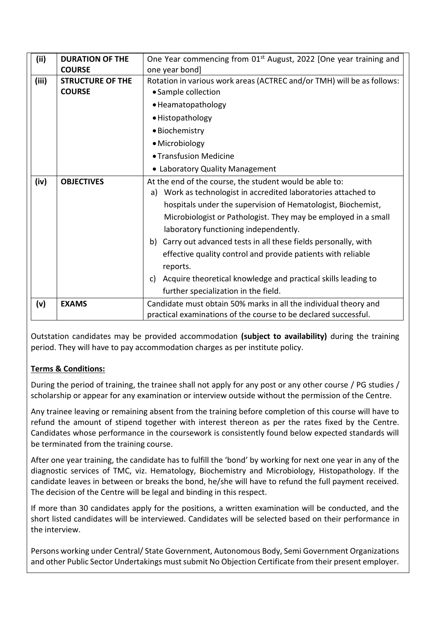| (iii) | <b>DURATION OF THE</b>  | One Year commencing from 01 <sup>st</sup> August, 2022 [One year training and |  |
|-------|-------------------------|-------------------------------------------------------------------------------|--|
|       | <b>COURSE</b>           | one year bond]                                                                |  |
| (iii) | <b>STRUCTURE OF THE</b> | Rotation in various work areas (ACTREC and/or TMH) will be as follows:        |  |
|       | <b>COURSE</b>           | • Sample collection                                                           |  |
|       |                         | • Heamatopathology                                                            |  |
|       |                         | • Histopathology                                                              |  |
|       |                         | · Biochemistry                                                                |  |
|       |                         | • Microbiology                                                                |  |
|       |                         | • Transfusion Medicine                                                        |  |
|       |                         | • Laboratory Quality Management                                               |  |
| (iv)  | <b>OBJECTIVES</b>       | At the end of the course, the student would be able to:                       |  |
|       |                         | a) Work as technologist in accredited laboratories attached to                |  |
|       |                         | hospitals under the supervision of Hematologist, Biochemist,                  |  |
|       |                         | Microbiologist or Pathologist. They may be employed in a small                |  |
|       |                         | laboratory functioning independently.                                         |  |
|       |                         | b) Carry out advanced tests in all these fields personally, with              |  |
|       |                         | effective quality control and provide patients with reliable                  |  |
|       |                         | reports.                                                                      |  |
|       |                         | Acquire theoretical knowledge and practical skills leading to<br>C)           |  |
|       |                         | further specialization in the field.                                          |  |
| (v)   | <b>EXAMS</b>            | Candidate must obtain 50% marks in all the individual theory and              |  |
|       |                         | practical examinations of the course to be declared successful.               |  |

Outstation candidates may be provided accommodation **(subject to availability)** during the training period. They will have to pay accommodation charges as per institute policy.

## **Terms & Conditions:**

During the period of training, the trainee shall not apply for any post or any other course / PG studies / scholarship or appear for any examination or interview outside without the permission of the Centre.

Any trainee leaving or remaining absent from the training before completion of this course will have to refund the amount of stipend together with interest thereon as per the rates fixed by the Centre. Candidates whose performance in the coursework is consistently found below expected standards will be terminated from the training course.

After one year training, the candidate has to fulfill the 'bond' by working for next one year in any of the diagnostic services of TMC, viz. Hematology, Biochemistry and Microbiology, Histopathology. If the candidate leaves in between or breaks the bond, he/she will have to refund the full payment received. The decision of the Centre will be legal and binding in this respect.

If more than 30 candidates apply for the positions, a written examination will be conducted, and the short listed candidates will be interviewed. Candidates will be selected based on their performance in the interview.

Persons working under Central/ State Government, Autonomous Body, Semi Government Organizations and other Public Sector Undertakings must submit No Objection Certificate from their present employer.